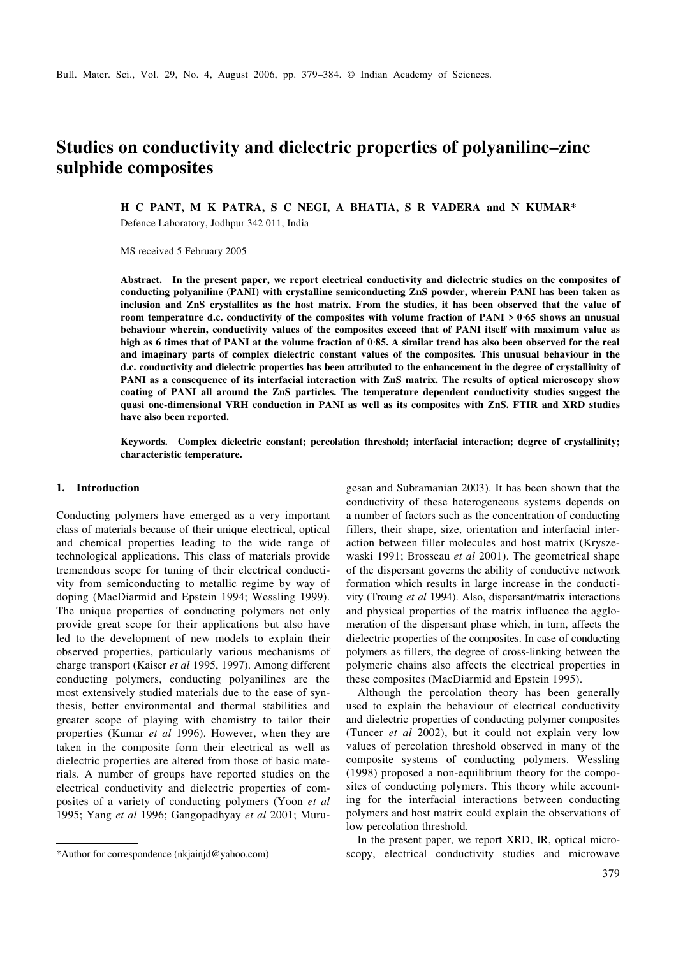# **Studies on conductivity and dielectric properties of polyaniline–zinc sulphide composites**

**H C PANT, M K PATRA, S C NEGI, A BHATIA, S R VADERA and N KUMAR\***

Defence Laboratory, Jodhpur 342 011, India

MS received 5 February 2005

**Abstract. In the present paper, we report electrical conductivity and dielectric studies on the composites of conducting polyaniline (PANI) with crystalline semiconducting ZnS powder, wherein PANI has been taken as inclusion and ZnS crystallites as the host matrix. From the studies, it has been observed that the value of room temperature d.c. conductivity of the composites with volume fraction of PANI > 0**⋅**65 shows an unusual behaviour wherein, conductivity values of the composites exceed that of PANI itself with maximum value as high as 6 times that of PANI at the volume fraction of 0**⋅**85. A similar trend has also been observed for the real and imaginary parts of complex dielectric constant values of the composites. This unusual behaviour in the d.c. conductivity and dielectric properties has been attributed to the enhancement in the degree of crystallinity of PANI as a consequence of its interfacial interaction with ZnS matrix. The results of optical microscopy show coating of PANI all around the ZnS particles. The temperature dependent conductivity studies suggest the quasi one-dimensional VRH conduction in PANI as well as its composites with ZnS. FTIR and XRD studies have also been reported.** 

**Keywords. Complex dielectric constant; percolation threshold; interfacial interaction; degree of crystallinity; characteristic temperature.**

#### **1. Introduction**

Conducting polymers have emerged as a very important class of materials because of their unique electrical, optical and chemical properties leading to the wide range of technological applications. This class of materials provide tremendous scope for tuning of their electrical conductivity from semiconducting to metallic regime by way of doping (MacDiarmid and Epstein 1994; Wessling 1999). The unique properties of conducting polymers not only provide great scope for their applications but also have led to the development of new models to explain their observed properties, particularly various mechanisms of charge transport (Kaiser *et al* 1995, 1997). Among different conducting polymers, conducting polyanilines are the most extensively studied materials due to the ease of synthesis, better environmental and thermal stabilities and greater scope of playing with chemistry to tailor their properties (Kumar *et al* 1996). However, when they are taken in the composite form their electrical as well as dielectric properties are altered from those of basic materials. A number of groups have reported studies on the electrical conductivity and dielectric properties of composites of a variety of conducting polymers (Yoon *et al* 1995; Yang *et al* 1996; Gangopadhyay *et al* 2001; Murugesan and Subramanian 2003). It has been shown that the conductivity of these heterogeneous systems depends on a number of factors such as the concentration of conducting fillers, their shape, size, orientation and interfacial interaction between filler molecules and host matrix (Kryszewaski 1991; Brosseau *et al* 2001). The geometrical shape of the dispersant governs the ability of conductive network formation which results in large increase in the conductivity (Troung *et al* 1994). Also, dispersant/matrix interactions and physical properties of the matrix influence the agglomeration of the dispersant phase which, in turn, affects the dielectric properties of the composites. In case of conducting polymers as fillers, the degree of cross-linking between the polymeric chains also affects the electrical properties in these composites (MacDiarmid and Epstein 1995).

Although the percolation theory has been generally used to explain the behaviour of electrical conductivity and dielectric properties of conducting polymer composites (Tuncer *et al* 2002), but it could not explain very low values of percolation threshold observed in many of the composite systems of conducting polymers. Wessling (1998) proposed a non-equilibrium theory for the composites of conducting polymers. This theory while accounting for the interfacial interactions between conducting polymers and host matrix could explain the observations of low percolation threshold.

In the present paper, we report XRD, IR, optical micro- \*Author for correspondence (nkjainjd@yahoo.com) scopy, electrical conductivity studies and microwave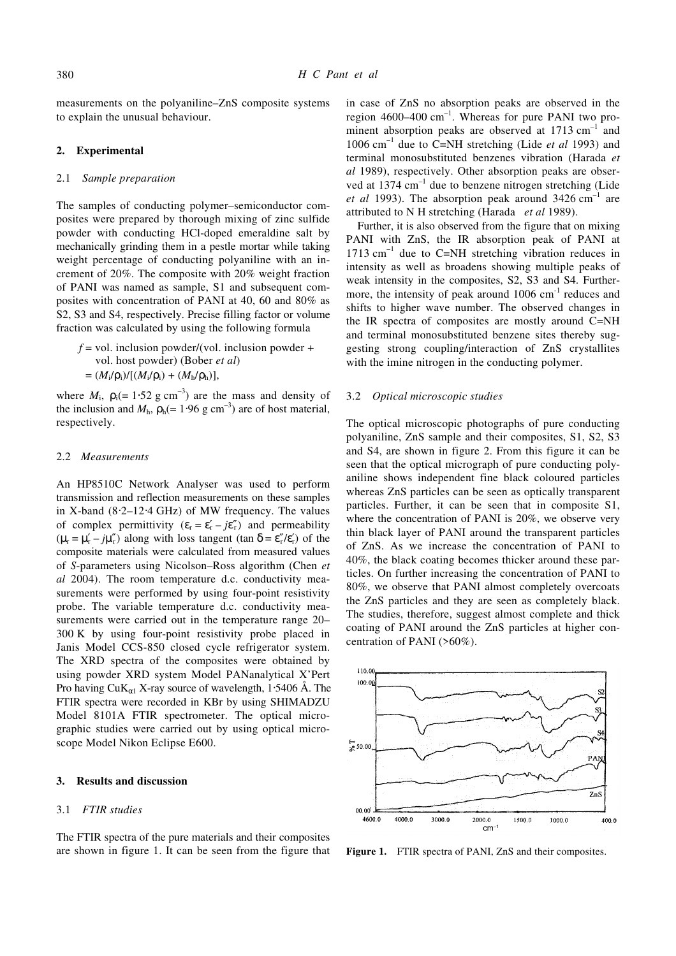measurements on the polyaniline–ZnS composite systems to explain the unusual behaviour.

#### **2. Experimental**

# 2.1 *Sample preparation*

The samples of conducting polymer–semiconductor composites were prepared by thorough mixing of zinc sulfide powder with conducting HCl-doped emeraldine salt by mechanically grinding them in a pestle mortar while taking weight percentage of conducting polyaniline with an increment of 20%. The composite with 20% weight fraction of PANI was named as sample, S1 and subsequent composites with concentration of PANI at 40, 60 and 80% as S2, S3 and S4, respectively. Precise filling factor or volume fraction was calculated by using the following formula

 $f =$  vol. inclusion powder/(vol. inclusion powder + vol. host powder) (Bober *et al*)  $f = (M_i/\rho_i)/[(M_i/\rho_i) + (M_h/\rho_h)],$ 

where  $M_i$ ,  $\rho_i (= 1.52 \text{ g cm}^{-3})$  are the mass and density of the inclusion and  $M_h$ ,  $\rho_h$ (= 1⋅96 g cm<sup>-3</sup>) are of host material, respectively.

# 2.2 *Measurements*

An HP8510C Network Analyser was used to perform transmission and reflection measurements on these samples in X-band (8⋅2–12⋅4 GHz) of MW frequency. The values of complex permittivity  $(\varepsilon_r = \varepsilon'_r - j\varepsilon''_r)$  and permeability  $(\mu_{\rm r} = \mu_{\rm r}' - j\mu_{\rm r}'')$  along with loss tangent (tan  $\delta = \varepsilon_{\rm r}''/\varepsilon_{\rm r}'$ ) of the composite materials were calculated from measured values of *S*-parameters using Nicolson–Ross algorithm (Chen *et al* 2004). The room temperature d.c. conductivity measurements were performed by using four-point resistivity probe. The variable temperature d.c. conductivity measurements were carried out in the temperature range 20– 300 K by using four-point resistivity probe placed in Janis Model CCS-850 closed cycle refrigerator system. The XRD spectra of the composites were obtained by using powder XRD system Model PANanalytical X'Pert Pro having CuK $_{\alpha1}$  X-ray source of wavelength, 1⋅5406 Å. The FTIR spectra were recorded in KBr by using SHIMADZU Model 8101A FTIR spectrometer. The optical micrographic studies were carried out by using optical microscope Model Nikon Eclipse E600.

## **3. Results and discussion**

## 3.1 *FTIR studies*

The FTIR spectra of the pure materials and their composites are shown in figure 1. It can be seen from the figure that in case of ZnS no absorption peaks are observed in the region 4600–400  $\text{cm}^{-1}$ . Whereas for pure PANI two prominent absorption peaks are observed at  $1713 \text{ cm}^{-1}$  and 1006 cm–1 due to C=NH stretching (Lide *et al* 1993) and terminal monosubstituted benzenes vibration (Harada *et al* 1989), respectively. Other absorption peaks are observed at  $1374 \text{ cm}^{-1}$  due to benzene nitrogen stretching (Lide *et al* 1993). The absorption peak around  $3426 \text{ cm}^{-1}$  are attributed to NH stretching (Harada *et al* 1989).

Further, it is also observed from the figure that on mixing PANI with ZnS, the IR absorption peak of PANI at 1713  $\text{cm}^{-1}$  due to C=NH stretching vibration reduces in intensity as well as broadens showing multiple peaks of weak intensity in the composites, S2, S3 and S4. Furthermore, the intensity of peak around  $1006 \text{ cm}^{-1}$  reduces and shifts to higher wave number. The observed changes in the IR spectra of composites are mostly around C=NH and terminal monosubstituted benzene sites thereby suggesting strong coupling/interaction of ZnS crystallites with the imine nitrogen in the conducting polymer.

### 3.2 *Optical microscopic studies*

The optical microscopic photographs of pure conducting polyaniline, ZnS sample and their composites, S1, S2, S3 and S4, are shown in figure 2. From this figure it can be seen that the optical micrograph of pure conducting polyaniline shows independent fine black coloured particles whereas ZnS particles can be seen as optically transparent particles. Further, it can be seen that in composite S1, where the concentration of PANI is 20%, we observe very thin black layer of PANI around the transparent particles of ZnS. As we increase the concentration of PANI to 40%, the black coating becomes thicker around these particles. On further increasing the concentration of PANI to 80%, we observe that PANI almost completely overcoats the ZnS particles and they are seen as completely black. The studies, therefore, suggest almost complete and thick coating of PANI around the ZnS particles at higher concentration of PANI (>60%).



**Figure 1.** FTIR spectra of PANI, ZnS and their composites.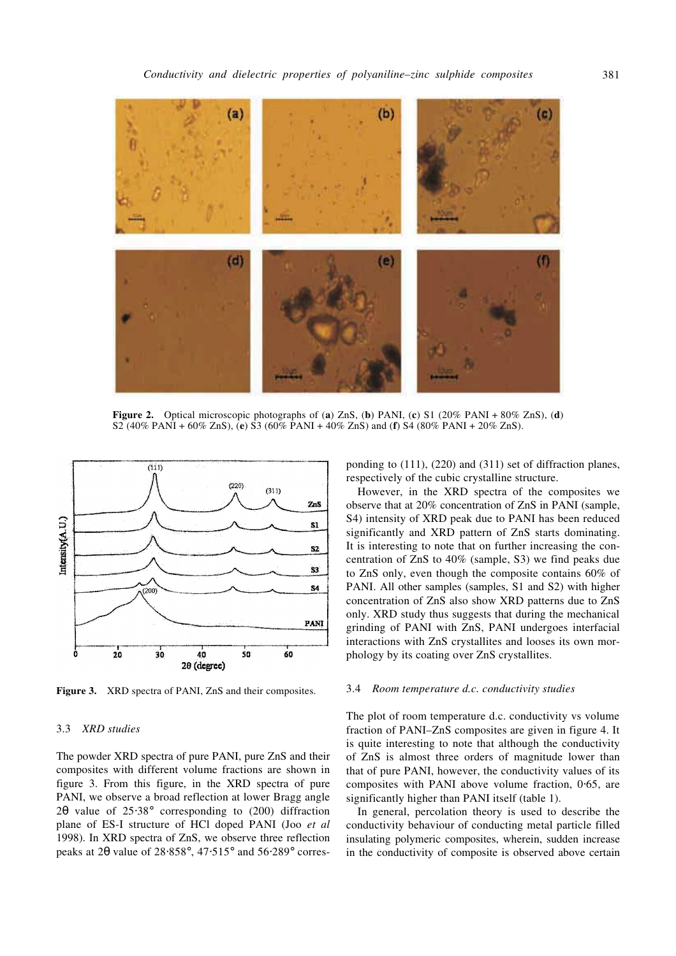

**Figure 2.** Optical microscopic photographs of (**a**) ZnS, (**b**) PANI, (**c**) S1 (20% PANI + 80% ZnS), (**d**) S2 (40% PANI + 60% ZnS), (**e**) S3 (60% PANI + 40% ZnS) and (**f**) S4 (80% PANI + 20% ZnS).



**Figure 3.** XRD spectra of PANI, ZnS and their composites.

# 3.3 *XRD studies*

The powder XRD spectra of pure PANI, pure ZnS and their composites with different volume fractions are shown in figure 3. From this figure, in the XRD spectra of pure PANI, we observe a broad reflection at lower Bragg angle 2θ value of 25⋅38° corresponding to (200) diffraction plane of ES-I structure of HCl doped PANI (Joo *et al* 1998). In XRD spectra of ZnS, we observe three reflection peaks at 2θ value of 28⋅858°, 47⋅515° and 56⋅289° corres-

ponding to (111), (220) and (311) set of diffraction planes, respectively of the cubic crystalline structure.

However, in the XRD spectra of the composites we observe that at 20% concentration of ZnS in PANI (sample, S4) intensity of XRD peak due to PANI has been reduced significantly and XRD pattern of ZnS starts dominating. It is interesting to note that on further increasing the concentration of ZnS to 40% (sample, S3) we find peaks due to ZnS only, even though the composite contains 60% of PANI. All other samples (samples, S1 and S2) with higher concentration of ZnS also show XRD patterns due to ZnS only. XRD study thus suggests that during the mechanical grinding of PANI with ZnS, PANI undergoes interfacial interactions with ZnS crystallites and looses its own morphology by its coating over ZnS crystallites.

## 3.4 *Room temperature d.c. conductivity studies*

The plot of room temperature d.c. conductivity vs volume fraction of PANI–ZnS composites are given in figure 4. It is quite interesting to note that although the conductivity of ZnS is almost three orders of magnitude lower than that of pure PANI, however, the conductivity values of its composites with PANI above volume fraction, 0⋅65, are significantly higher than PANI itself (table 1).

In general, percolation theory is used to describe the conductivity behaviour of conducting metal particle filled insulating polymeric composites, wherein, sudden increase in the conductivity of composite is observed above certain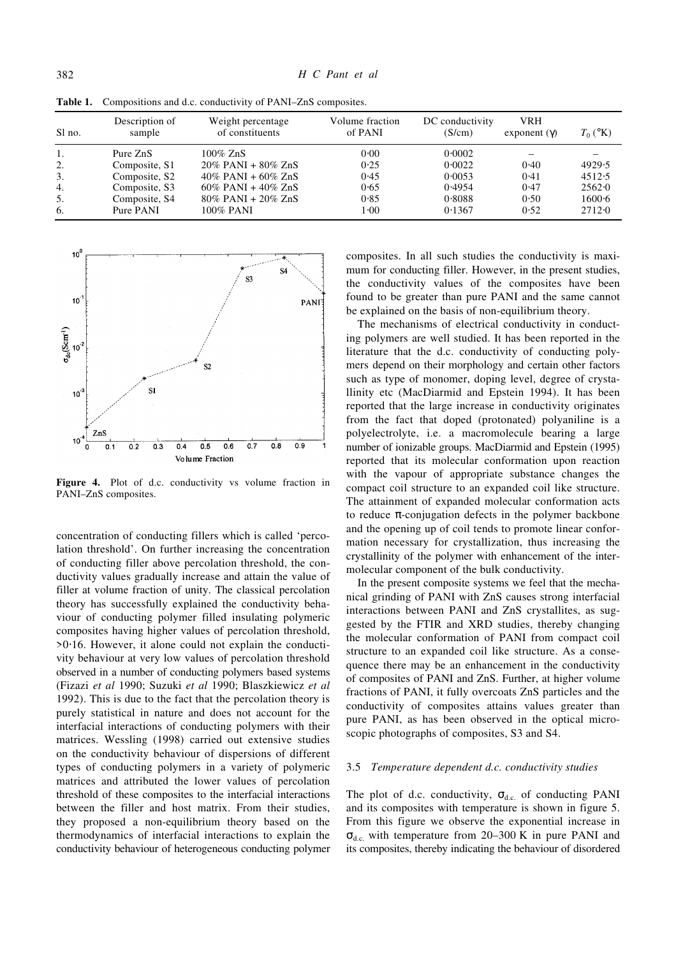| Sl no. | Description of<br>sample  | Weight percentage<br>of constituents | Volume fraction<br>of PANI | DC conductivity<br>(S/cm) | <b>VRH</b><br>exponent (γ) | $T_0$ (°K)     |
|--------|---------------------------|--------------------------------------|----------------------------|---------------------------|----------------------------|----------------|
| 1.     | Pure ZnS                  | $100\%$ ZnS                          | 0.00                       | 0.0002                    |                            |                |
| 2.     | Composite, S1             | $20\%$ PANI + 80% ZnS                | 0.25                       | 0.0022                    | 0.40                       | 4929.5         |
| 3.     | Composite, S <sub>2</sub> | 40% PANI + $60\%$ ZnS                | 0.45                       | 0.0053                    | 0.41                       | 4512.5         |
| 4.     | Composite, S3             | $60\%$ PANI + 40% ZnS                | 0.65                       | 0.4954                    | 0.47                       | $2562 \cdot 0$ |
| 5.     | Composite, S4             | $80\%$ PANI + 20% ZnS                | 0.85                       | 0.8088                    | 0.50                       | $1600 - 6$     |
| 6.     | Pure PANI                 | 100% PANI                            | $1 - 00$                   | 0.1367                    | 0.52                       | $2712 \cdot 0$ |

Table 1. Compositions and d.c. conductivity of PANI–ZnS composites.



**Figure 4.** Plot of d.c. conductivity vs volume fraction in PANI–ZnS composites.

concentration of conducting fillers which is called 'percolation threshold'. On further increasing the concentration of conducting filler above percolation threshold, the conductivity values gradually increase and attain the value of filler at volume fraction of unity. The classical percolation theory has successfully explained the conductivity behaviour of conducting polymer filled insulating polymeric composites having higher values of percolation threshold, >0⋅16. However, it alone could not explain the conductivity behaviour at very low values of percolation threshold observed in a number of conducting polymers based systems (Fizazi *et al* 1990; Suzuki *et al* 1990; Blaszkiewicz *et al* 1992). This is due to the fact that the percolation theory is purely statistical in nature and does not account for the interfacial interactions of conducting polymers with their matrices. Wessling (1998) carried out extensive studies on the conductivity behaviour of dispersions of different types of conducting polymers in a variety of polymeric matrices and attributed the lower values of percolation threshold of these composites to the interfacial interactions between the filler and host matrix. From their studies, they proposed a non-equilibrium theory based on the thermodynamics of interfacial interactions to explain the conductivity behaviour of heterogeneous conducting polymer composites. In all such studies the conductivity is maximum for conducting filler. However, in the present studies, the conductivity values of the composites have been found to be greater than pure PANI and the same cannot be explained on the basis of non-equilibrium theory.

The mechanisms of electrical conductivity in conducting polymers are well studied. It has been reported in the literature that the d.c. conductivity of conducting polymers depend on their morphology and certain other factors such as type of monomer, doping level, degree of crystallinity etc (MacDiarmid and Epstein 1994). It has been reported that the large increase in conductivity originates from the fact that doped (protonated) polyaniline is a polyelectrolyte, i.e. a macromolecule bearing a large number of ionizable groups. MacDiarmid and Epstein (1995) reported that its molecular conformation upon reaction with the vapour of appropriate substance changes the compact coil structure to an expanded coil like structure. The attainment of expanded molecular conformation acts to reduce π-conjugation defects in the polymer backbone and the opening up of coil tends to promote linear conformation necessary for crystallization, thus increasing the crystallinity of the polymer with enhancement of the intermolecular component of the bulk conductivity.

In the present composite systems we feel that the mechanical grinding of PANI with ZnS causes strong interfacial interactions between PANI and ZnS crystallites, as suggested by the FTIR and XRD studies, thereby changing the molecular conformation of PANI from compact coil structure to an expanded coil like structure. As a consequence there may be an enhancement in the conductivity of composites of PANI and ZnS. Further, at higher volume fractions of PANI, it fully overcoats ZnS particles and the conductivity of composites attains values greater than pure PANI, as has been observed in the optical microscopic photographs of composites, S3 and S4.

#### 3.5 *Temperature dependent d.c. conductivity studies*

The plot of d.c. conductivity,  $\sigma_{d.c.}$  of conducting PANI and its composites with temperature is shown in figure 5. From this figure we observe the exponential increase in  $\sigma_{d.c.}$  with temperature from 20–300 K in pure PANI and its composites, thereby indicating the behaviour of disordered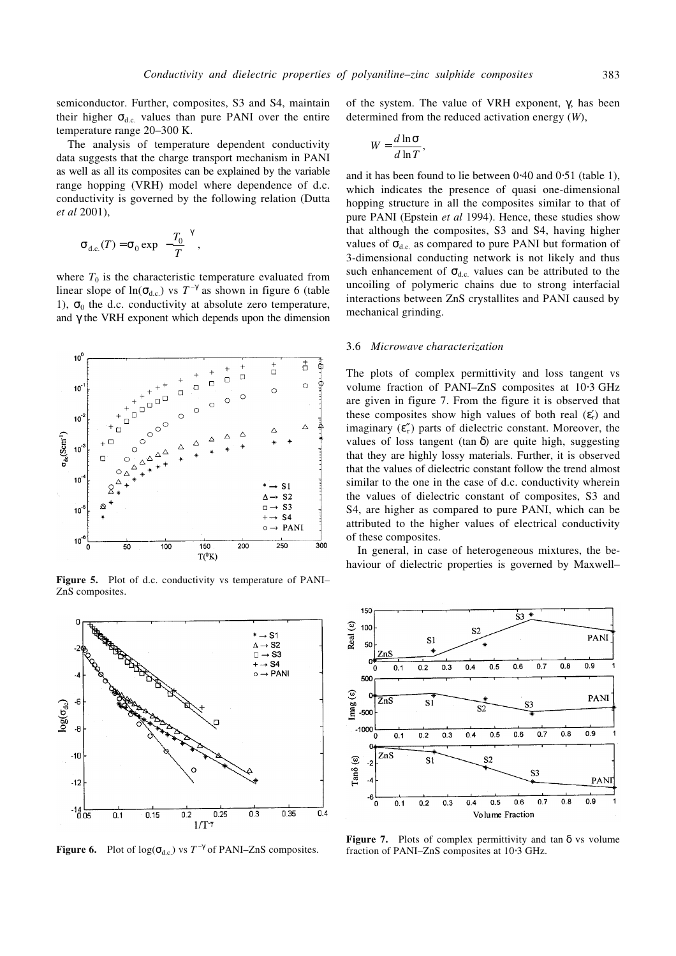semiconductor. Further, composites, S3 and S4, maintain their higher  $\sigma_{d,c}$  values than pure PANI over the entire temperature range 20–300 K.

The analysis of temperature dependent conductivity data suggests that the charge transport mechanism in PANI as well as all its composites can be explained by the variable range hopping (VRH) model where dependence of d.c. conductivity is governed by the following relation (Dutta *et al* 2001),

$$
\sigma_{\text{d.c.}}(T) = \sigma_0 \exp\left(-\frac{T_0}{T}\right)^{\gamma},
$$

where  $T_0$  is the characteristic temperature evaluated from linear slope of  $ln(\sigma_{d,c})$  vs  $T^{-\gamma}$  as shown in figure 6 (table 1),  $\sigma_0$  the d.c. conductivity at absolute zero temperature, and  $\gamma$  the VRH exponent which depends upon the dimension



Figure 5. Plot of d.c. conductivity vs temperature of PANI– ZnS composites.



**Figure 6.** Plot of  $log(\sigma_{d.c.})$  vs  $T^{-\gamma}$  of PANI–ZnS composites.

of the system. The value of VRH exponent, γ, has been determined from the reduced activation energy (*W*),

$$
W = \frac{d \ln \sigma}{d \ln T},
$$

and it has been found to lie between 0⋅40 and 0⋅51 (table 1), which indicates the presence of quasi one-dimensional hopping structure in all the composites similar to that of pure PANI (Epstein *et al* 1994). Hence, these studies show that although the composites, S3 and S4, having higher values of  $\sigma_{\text{d.c.}}$  as compared to pure PANI but formation of 3-dimensional conducting network is not likely and thus such enhancement of  $\sigma_{d.c.}$  values can be attributed to the uncoiling of polymeric chains due to strong interfacial interactions between ZnS crystallites and PANI caused by mechanical grinding.

#### 3.6 *Microwave characterization*

The plots of complex permittivity and loss tangent vs volume fraction of PANI–ZnS composites at 10⋅3 GHz are given in figure 7. From the figure it is observed that these composites show high values of both real  $(\varepsilon_r')$  and imaginary  $(\varepsilon_{\rm r}^{\prime\prime})$  parts of dielectric constant. Moreover, the values of loss tangent (tan  $\delta$ ) are quite high, suggesting that they are highly lossy materials. Further, it is observed that the values of dielectric constant follow the trend almost similar to the one in the case of d.c. conductivity wherein the values of dielectric constant of composites, S3 and S4, are higher as compared to pure PANI, which can be attributed to the higher values of electrical conductivity of these composites.

In general, in case of heterogeneous mixtures, the behaviour of dielectric properties is governed by Maxwell–



**Figure 7.** Plots of complex permittivity and tan δ vs volume fraction of PANI–ZnS composites at 10⋅3 GHz.